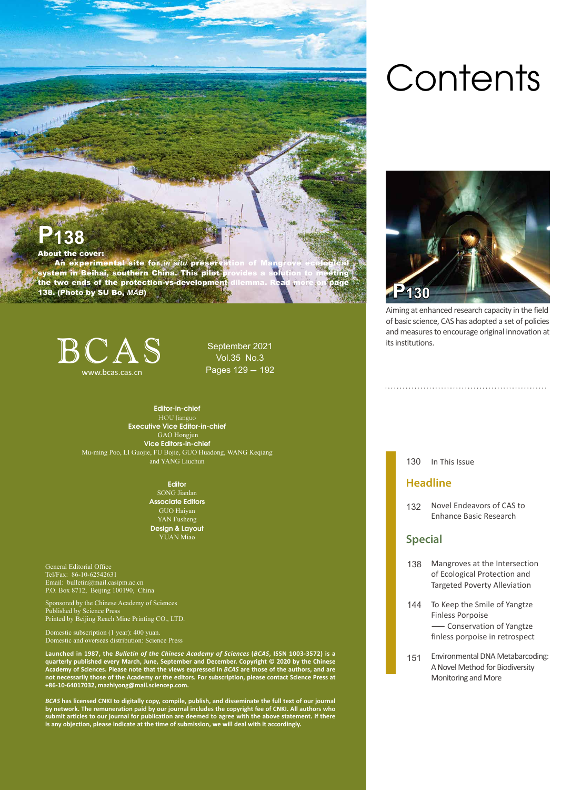



About the cover: An experimental site for *in situ* preservation of Mangrove ecological system in Beihai, southern China. This pilot provides a solution to meeting the two ends of the protection-vs-development 138. (Photo by SU Bo, *MAB*)

 $BCAS$  September 2021 www.bcas.cas.cn

Vol.35 No.3 Pages 129 -- 192

#### Editor-in-chief HOU Jianguo Executive Vice Editor-in-chief GAO Hongjun

Vice Editors-in-chief Mu-ming Poo, LI Guojie, FU Bojie, GUO Huadong, WANG Keqiang and YANG Liuchun

Editor

SONG Jianlan Associate Editors GUO Haiyan YAN Fusheng Design & Layout Yuan Miao

General Editorial Office Tel/Fax: 86-10-62542631 Email: bulletin@mail.casipm.ac.cn P.O. Box 8712, Beijing 100190, China

Sponsored by the Chinese Academy of Sciences Published by Science Press Printed by Beijing Reach Mine Printing CO., LTD.

Domestic subscription (1 year): 400 yuan. Domestic and overseas distribution: Science Press

Launched in 1987, the *Bulletin of the Chinese Academy of Sciences (BCAS*, ISSN 1003-3572) is a<br>quarterly published every March, June, September and December. Copyright © 2020 by the Chinese Academy of Sciences. Please note that the views expressed in *BCAS* are those of the authors, and are<br>not necessarily those of the Academy or the editors. For subscription, please contact Science Press at **+86-10-64017032, mazhiyong@mail.sciencep.com.**

*BCAS* has licensed CNKI to digitally copy, compile, publish, and disseminate the full text of our journal<br>by network. The remuneration paid by our journal includes the copyright fee of CNKI. All authors who **submit articles to our journal for publication are deemed to agree with the above statement. If there is any objection, please indicate at the time of submission, we will deal with it accordingly.**



Aiming at enhanced research capacity in the field of basic science, CAS has adopted a set of policies and measures to encourage original innovation at its institutions.

130 In This Issue

## **Headline**

132 Novel Endeavors of CAS to Enhance Basic Research

## **Special**

- 138 Mangroves at the Intersection of Ecological Protection and Targeted Poverty Alleviation
- 144 To Keep the Smile of Yangtze Finless Porpoise —— Conservation of Yangtze finless porpoise in retrospect
- 151 Environmental DNA Metabarcoding: A Novel Method for Biodiversity Monitoring and More